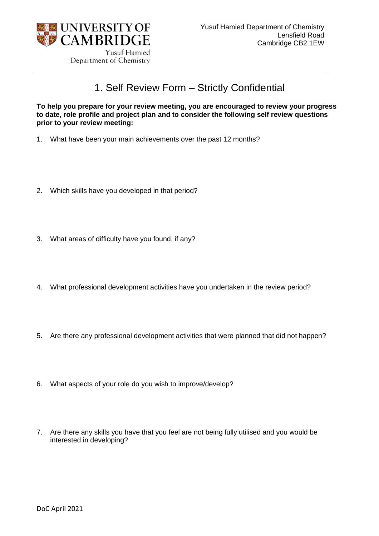

Yusuf Hamied Department of Chemistry

## 1. Self Review Form – Strictly Confidential

**To help you prepare for your review meeting, you are encouraged to review your progress to date, role profile and project plan and to consider the following self review questions prior to your review meeting:**

- 1. What have been your main achievements over the past 12 months?
- 2. Which skills have you developed in that period?
- 3. What areas of difficulty have you found, if any?
- 4. What professional development activities have you undertaken in the review period?
- 5. Are there any professional development activities that were planned that did not happen?
- 6. What aspects of your role do you wish to improve/develop?
- 7. Are there any skills you have that you feel are not being fully utilised and you would be interested in developing?